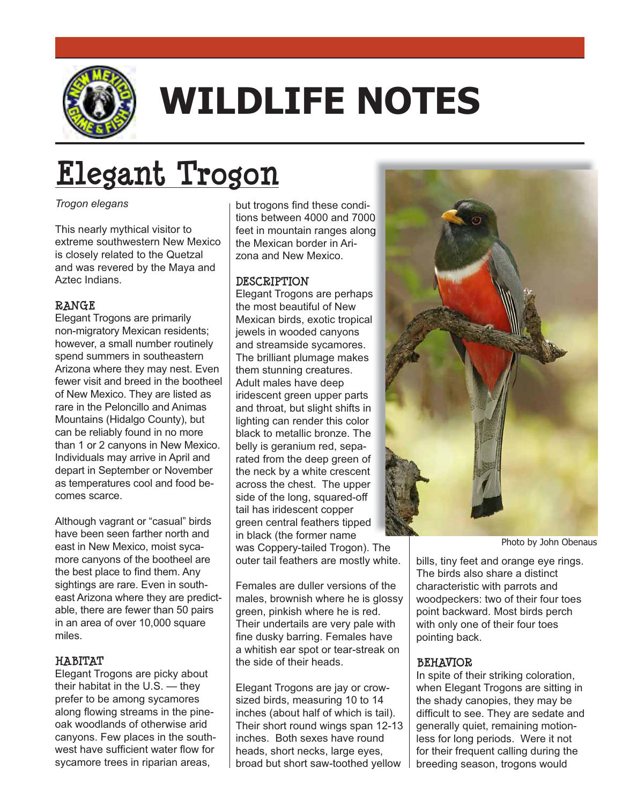

## **WILDLIFE NOTES**

# **Elegant Trogon**

## *Trogon elegans*

This nearly mythical visitor to extreme southwestern New Mexico is closely related to the Quetzal and was revered by the Maya and Aztec Indians.

**RANGE** Elegant Trogons are primarily non-migratory Mexican residents; however, a small number routinely spend summers in southeastern Arizona where they may nest. Even fewer visit and breed in the bootheel of New Mexico. They are listed as rare in the Peloncillo and Animas Mountains (Hidalgo County), but can be reliably found in no more than 1 or 2 canyons in New Mexico. Individuals may arrive in April and depart in September or November as temperatures cool and food becomes scarce.

Although vagrant or "casual" birds have been seen farther north and east in New Mexico, moist sycamore canyons of the bootheel are the best place to find them. Any sightings are rare. Even in southeast Arizona where they are predictable, there are fewer than 50 pairs in an area of over 10,000 square miles.

**HABITAT**  Elegant Trogons are picky about their habitat in the U.S. — they prefer to be among sycamores along flowing streams in the pineoak woodlands of otherwise arid canyons. Few places in the southwest have sufficient water flow for sycamore trees in riparian areas,

but trogons find these conditions between 4000 and 7000 feet in mountain ranges along the Mexican border in Arizona and New Mexico.

**DESCRIPTION** Elegant Trogons are perhaps the most beautiful of New Mexican birds, exotic tropical jewels in wooded canyons and streamside sycamores. The brilliant plumage makes them stunning creatures. Adult males have deep iridescent green upper parts and throat, but slight shifts in lighting can render this color black to metallic bronze. The belly is geranium red, separated from the deep green of the neck by a white crescent across the chest. The upper side of the long, squared-off tail has iridescent copper green central feathers tipped in black (the former name was Coppery-tailed Trogon). The outer tail feathers are mostly white.

Females are duller versions of the males, brownish where he is glossy green, pinkish where he is red. Their undertails are very pale with fine dusky barring. Females have a whitish ear spot or tear-streak on the side of their heads.

Elegant Trogons are jay or crowsized birds, measuring 10 to 14 inches (about half of which is tail). Their short round wings span 12-13 inches. Both sexes have round heads, short necks, large eyes, broad but short saw-toothed yellow



Photo by John Obenaus

bills, tiny feet and orange eye rings. The birds also share a distinct characteristic with parrots and woodpeckers: two of their four toes point backward. Most birds perch with only one of their four toes pointing back.

**BEHAVIOR**<br>In spite of their striking coloration, when Elegant Trogons are sitting in the shady canopies, they may be difficult to see. They are sedate and generally quiet, remaining motionless for long periods. Were it not for their frequent calling during the breeding season, trogons would